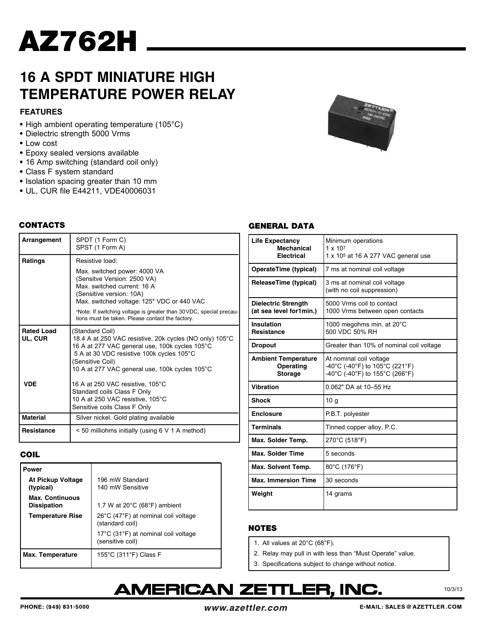

## **16 A SPDT MINIATURE HIGH TEMPERATURE POWER RELAY**

### **FEATURES**

- **•** High ambient operating temperature (105°C)
- **•** Dielectric strength 5000 Vrms
- **•** Low cost
- **•** Epoxy sealed versions available
- **•** 16 Amp switching (standard coil only)
- **•** Class F system standard
- **•** Isolation spacing greater than 10 mm
- **•** UL, CUR file E44211, VDE40006031

### **CONTACTS**

| Arrangement                  | SPDT (1 Form C)<br>SPST (1 Form A)                                                                                                                                                                                                                                                                                 |
|------------------------------|--------------------------------------------------------------------------------------------------------------------------------------------------------------------------------------------------------------------------------------------------------------------------------------------------------------------|
| Ratings                      | Resistive load:<br>Max. switched power: 4000 VA<br>(Sensitve Version: 2500 VA)<br>Max, switched current: 16 A<br>(Sensitive version: 10A)<br>Max. switched voltage: 125* VDC or 440 VAC<br>*Note: If switching voltage is greater than 30 VDC, special precau-<br>tions must be taken. Please contact the factory. |
| <b>Rated Load</b><br>UL, CUR | (Standard Coil)<br>18.4 A at 250 VAC resistive, 20k cycles (NO only) 105°C<br>16 A at 277 VAC general use, 100k cycles 105°C<br>5 A at 30 VDC resistive 100k cycles 105°C<br>(Sensitive Coil)<br>10 A at 277 VAC general use, 100k cycles 105°C                                                                    |
| <b>VDE</b>                   | 16 A at 250 VAC resistive. 105°C<br>Standard coils Class F Only<br>10 A at 250 VAC resistive, 105°C<br>Sensitive coils Class F Only                                                                                                                                                                                |
| <b>Material</b>              | Silver nickel. Gold plating available                                                                                                                                                                                                                                                                              |
| <b>Resistance</b>            | < 50 milliohms initially (using 6 V 1 A method)                                                                                                                                                                                                                                                                    |

### **COIL**

| <b>Power</b>                                 |                                                         |
|----------------------------------------------|---------------------------------------------------------|
| At Pickup Voltage<br>(typical)               | 196 mW Standard<br>140 mW Sensitive                     |
| <b>Max. Continuous</b><br><b>Dissipation</b> | 1.7 W at $20^{\circ}$ C (68 $^{\circ}$ F) ambient       |
| <b>Temperature Rise</b>                      | 26°C (47°F) at nominal coil voltage<br>(standard coil)  |
|                                              | 17°C (31°F) at nominal coil voltage<br>(sensitive coil) |
| <b>Max. Temperature</b>                      | 155°C (311°F) Class F                                   |



### **GENERAL DATA**

| Life Expectancy<br><b>Mechanical</b><br><b>Electrical</b> | Minimum operations<br>$1 \times 10^{7}$<br>1 x 10 <sup>5</sup> at 16 A 277 VAC general use  |  |  |
|-----------------------------------------------------------|---------------------------------------------------------------------------------------------|--|--|
| OperateTime (typical)                                     | 7 ms at nominal coil voltage                                                                |  |  |
| ReleaseTime (typical)                                     | 3 ms at nominal coil voltage<br>(with no coil suppression)                                  |  |  |
| <b>Dielectric Strength</b><br>(at sea level for1min.)     | 5000 Vrms coil to contact<br>1000 Vrms between open contacts                                |  |  |
| Insulation<br><b>Resistance</b>                           | 1000 megohms min. at 20°C<br>500 VDC 50% RH                                                 |  |  |
| <b>Dropout</b>                                            | Greater than 10% of nominal coil voltage                                                    |  |  |
| <b>Ambient Temperature</b><br>Operating<br><b>Storage</b> | At nominal coil voltage<br>-40°C (-40°F) to 105°C (221°F)<br>-40°C (-40°F) to 155°C (266°F) |  |  |
| Vibration                                                 | 0.062" DA at 10-55 Hz                                                                       |  |  |
| <b>Shock</b>                                              | 10 <sub>g</sub>                                                                             |  |  |
| <b>Enclosure</b>                                          | P.B.T. polyester                                                                            |  |  |
| <b>Terminals</b>                                          | Tinned copper alloy, P.C.                                                                   |  |  |
| Max. Solder Temp.                                         | 270°C (518°F)                                                                               |  |  |
| <b>Max. Solder Time</b>                                   | 5 seconds                                                                                   |  |  |
| Max. Solvent Temp.                                        | 80°C (176°F)                                                                                |  |  |
| <b>Max. Immersion Time</b>                                | 30 seconds                                                                                  |  |  |
| Weight                                                    | 14 grams                                                                                    |  |  |
|                                                           |                                                                                             |  |  |

### **NOTES**

- 1. All values at 20°C (68°F).
- 2. Relay may pull in with less than "Must Operate" value.
- 3. Specifications subject to change without notice.

## AMERICAN ZETTLER, INC.

10/3/13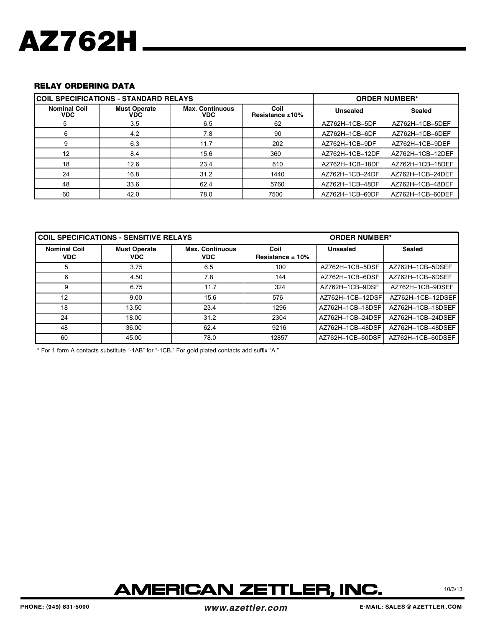# **AZ762H**

### **RELAY ORDERING DATA**

| COIL SPECIFICATIONS - STANDARD RELAYS |                             |                                      |                            | <b>ORDER NUMBER*</b> |                  |
|---------------------------------------|-----------------------------|--------------------------------------|----------------------------|----------------------|------------------|
| <b>Nominal Coil</b><br><b>VDC</b>     | <b>Must Operate</b><br>VDC. | <b>Max. Continuous</b><br><b>VDC</b> | Coil<br>Resistance $±10\%$ | Unsealed             | <b>Sealed</b>    |
| 5                                     | 3.5                         | 6.5                                  | 62                         | AZ762H-1CB-5DF       | AZ762H-1CB-5DEF  |
| 6                                     | 4.2                         | 7.8                                  | 90                         | AZ762H-1CB-6DF       | AZ762H-1CB-6DEF  |
|                                       | 6.3                         | 11.7                                 | 202                        | AZ762H-1CB-9DF       | AZ762H-1CB-9DEF  |
| 12                                    | 8.4                         | 15.6                                 | 360                        | AZ762H-1CB-12DF      | AZ762H-1CB-12DEF |
| 18                                    | 12.6                        | 23.4                                 | 810                        | AZ762H-1CB-18DF      | AZ762H-1CB-18DEF |
| 24                                    | 16.8                        | 31.2                                 | 1440                       | AZ762H-1CB-24DF      | AZ762H-1CB-24DEF |
| 48                                    | 33.6                        | 62.4                                 | 5760                       | AZ762H-1CB-48DF      | AZ762H-1CB-48DEF |
| 60                                    | 42.0                        | 78.0                                 | 7500                       | AZ762H-1CB-60DF      | AZ762H-1CB-60DEF |

| <b>COIL SPECIFICATIONS - SENSITIVE RELAYS</b> |                                   |                                      | <b>ORDER NUMBER*</b>         |                  |                   |
|-----------------------------------------------|-----------------------------------|--------------------------------------|------------------------------|------------------|-------------------|
| <b>Nominal Coil</b><br><b>VDC</b>             | <b>Must Operate</b><br><b>VDC</b> | <b>Max. Continuous</b><br><b>VDC</b> | Coil<br>Resistance $\pm$ 10% | Unsealed         | <b>Sealed</b>     |
| 5                                             | 3.75                              | 6.5                                  | 100                          | AZ762H-1CB-5DSF  | AZ762H-1CB-5DSEF  |
| 6                                             | 4.50                              | 7.8                                  | 144                          | AZ762H-1CB-6DSF  | AZ762H-1CB-6DSEF  |
| 9                                             | 6.75                              | 11.7                                 | 324                          | AZ762H-1CB-9DSF  | AZ762H-1CB-9DSEF  |
| 12                                            | 9.00                              | 15.6                                 | 576                          | AZ762H-1CB-12DSF | AZ762H-1CB-12DSEF |
| 18                                            | 13.50                             | 23.4                                 | 1296                         | AZ762H-1CB-18DSF | AZ762H-1CB-18DSEF |
| 24                                            | 18.00                             | 31.2                                 | 2304                         | AZ762H-1CB-24DSF | AZ762H-1CB-24DSEF |
| 48                                            | 36.00                             | 62.4                                 | 9216                         | AZ762H-1CB-48DSF | AZ762H-1CB-48DSEF |
| 60                                            | 45.00                             | 78.0                                 | 12857                        | AZ762H-1CB-60DSF | AZ762H-1CB-60DSEF |

\* For 1 form A contacts substitute "-1AB" for "-1CB." For gold plated contacts add suffix "A."



www.azettler.com